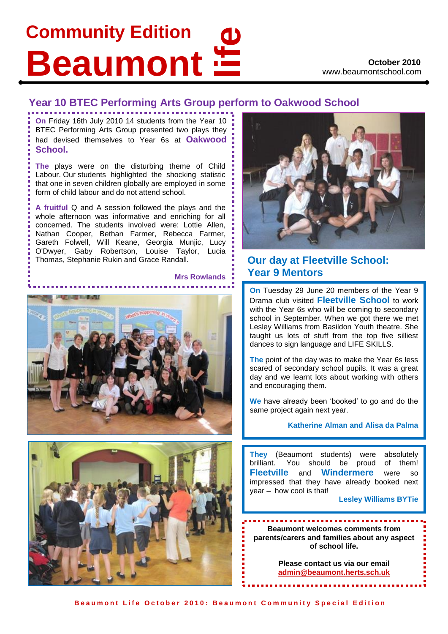# **Community Edition Beaumont**

### **Year 10 BTEC Performing Arts Group perform to Oakwood School**

**On** Friday 16th July 2010 14 students from the Year 10 BTEC Performing Arts Group presented two plays they had devised themselves to Year 6s at **Oakwood School.**

**The** plays were on the disturbing theme of Child Labour. Our students highlighted the shocking statistic that one in seven children globally are employed in some form of child labour and do not attend school.

 Nathan Cooper, Bethan Farmer, Rebecca Farmer, Gareth Folwell, Will Keane, Georgia Munjic, Lucy O'Dwyer, Gaby Robertson, Louise Taylor, Lucia **A fruitful** Q and A session followed the plays and the whole afternoon was informative and enriching for all concerned. The students involved were: Lottie Allen, Thomas, Stephanie Rukin and Grace Randall.







### **Our day at Fleetville School: Year 9 Mentors**

**On** Tuesday 29 June 20 members of the Year 9 Drama club visited **Fleetville School** to work with the Year 6s who will be coming to secondary school in September. When we got there we met Lesley Williams from Basildon Youth theatre. She taught us lots of stuff from the top five silliest dances to sign language and LIFE SKILLS.

**The** point of the day was to make the Year 6s less scared of secondary school pupils. It was a great day and we learnt lots about working with others and encouraging them.

**We** have already been 'booked' to go and do the same project again next year.

#### **Katherine Alman and Alisa da Palma**

**They** (Beaumont students) were absolutely brilliant. You should be proud of them! **Fleetville** and **Windermere** were so impressed that they have already booked next year – how cool is that!

**Lesley Williams BYTie**

**Beaumont welcomes comments from parents/carers and families about any aspect of school life.** 

> **Please contact us via our email [admin@beaumont.herts.sch.uk](mailto:admin@beaumont.herts.sch.uk)**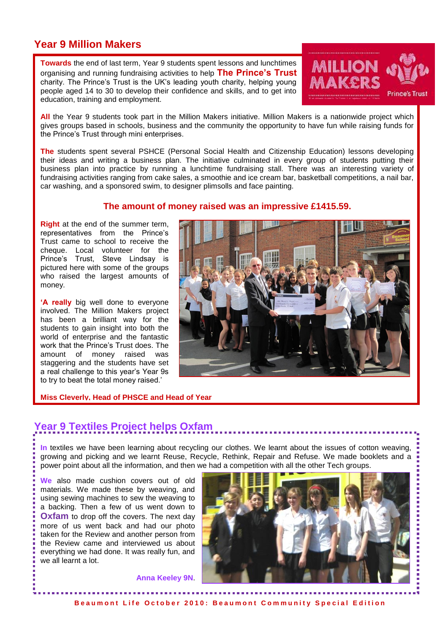### **Year 9 Million Makers**

**Towards** the end of last term, Year 9 students spent lessons and lunchtimes organising and running fundraising activities to help **The Prince's Trust** charity. The Prince's Trust is the UK's leading youth charity, helping young people aged 14 to 30 to develop their confidence and skills, and to get into education, training and employment.



**All** the Year 9 students took part in the Million Makers initiative. Million Makers is a nationwide project which gives groups based in schools, business and the community the opportunity to have fun while raising funds for the Prince's Trust through mini enterprises.

**The** students spent several PSHCE (Personal Social Health and Citizenship Education) lessons developing their ideas and writing a business plan. The initiative culminated in every group of students putting their business plan into practice by running a lunchtime fundraising stall. There was an interesting variety of fundraising activities ranging from cake sales, a smoothie and ice cream bar, basketball competitions, a nail bar, car washing, and a sponsored swim, to designer plimsolls and face painting.

#### **The amount of money raised was an impressive £1415.59.**

**Right** at the end of the summer term, representatives from the Prince's Trust came to school to receive the cheque. Local volunteer for the Prince's Trust, Steve Lindsay is pictured here with some of the groups who raised the largest amounts of money.

**'A really** big well done to everyone involved. The Million Makers project has been a brilliant way for the students to gain insight into both the world of enterprise and the fantastic work that the Prince's Trust does. The amount of money raised was staggering and the students have set a real challenge to this year's Year 9s to try to beat the total money raised.'



#### **Miss Cleverly, Head of PHSCE and Head of Year**

## **Year 9 Textiles Project helps Oxfam**

**In** textiles we have been learning about recycling our clothes. We learnt about the issues of cotton weaving, growing and picking and we learnt Reuse, Recycle, Rethink, Repair and Refuse. We made booklets and a power point about all the information, and then we had a competition with all the other Tech groups.

**We** also made cushion covers out of old materials. We made these by weaving, and using sewing machines to sew the weaving to a backing. Then a few of us went down to **Oxfam** to drop off the covers. The next day more of us went back and had our photo taken for the Review and another person from the Review came and interviewed us about everything we had done. It was really fun, and we all learnt a lot.



**Anna Keeley 9N**.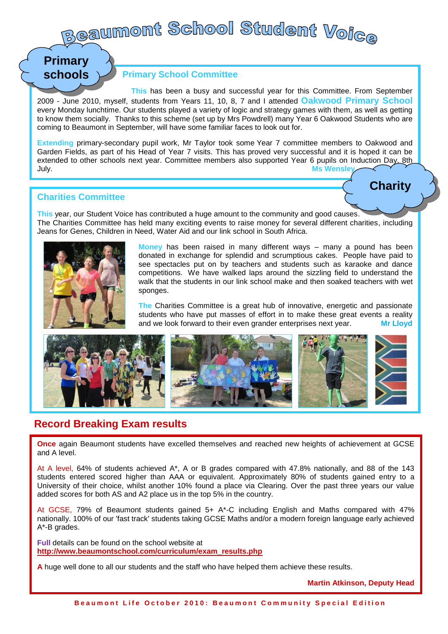# **Beaumont School Student Voi<sub>Ge</sub>**

## **Primary schools**

#### **Primary School Committee**

 **This** has been a busy and successful year for this Committee. From September 2009 - June 2010, myself, students from Years 11, 10, 8, 7 and I attended **Oakwood Primary School** every Monday lunchtime. Our students played a variety of logic and strategy games with them, as well as getting to know them socially. Thanks to this scheme (set up by Mrs Powdrell) many Year 6 Oakwood Students who are coming to Beaumont in September, will have some familiar faces to look out for.

**Extending** primary-secondary pupil work, Mr Taylor took some Year 7 committee members to Oakwood and Garden Fields, as part of his Head of Year 7 visits. This has proved very successful and it is hoped it can be extended to other schools next year. Committee members also supported Year 6 pupils on Induction Day, 8th July. **Ms Wensley**

#### on Student Voice Day, 24th June, 2 dvds were made by pupils to support primary pupils. One shows year 7th June, endities Committee **of the subjects studied at Beaumont. It is designed to give year 5 and 6 and 6 and 6 and 6 and 6 and 6 and 6 and 6 and 6 and 6 and 6 and 6 and 6 and 6 and 6 and 6 and 6 and 6 and 6 and 6 and 6 and 6 and**

pupils an insight into the school from the pupills perspective. Hopefully it will be shown on Secondary Transfer **This** year, our Student Voice has contributed a huge amount to the community and good causes. The Charities Committee has held many exciting events to raise money for several different charities, including Jeans for Genes, Children in Need, Water Aid and our link school in South Africa.



donated in exchange for splendid and scrumptious cakes. People have paid to **for the South Africa** See spectacles put on by teachers and students such as karaoke and dance **Money** has been raised in many different ways – many a pound has been competitions. We have walked laps around the sizzling field to understand the walk that the students in our link school make and then soaked teachers with wet sponges.

**The Charities Committee is a great hub of innovative, energetic and passionate** students who have put masses of effort in to make these great events a reality and we look forward to their even grander enterprises next year. **Mr Lloyd**



### **Record Breaking Exam results**

**Once** again Beaumont students have excelled themselves and reached new heights of achievement at GCSE and A level.

At A level, 64% of students achieved A\*, A or B grades compared with 47.8% nationally, and 88 of the 143 students entered scored higher than AAA or equivalent. Approximately 80% of students gained entry to a University of their choice, whilst another 10% found a place via Clearing. Over the past three years our value added scores for both AS and A2 place us in the top 5% in the country.

At GCSE, 79% of Beaumont students gained 5+ A\*-C including English and Maths compared with 47% nationally. 100% of our 'fast track' students taking GCSE Maths and/or a modern foreign language early achieved A\*-B grades.

**Full** details can be found on the school website at **[http://www.beaumontschool.com/curriculum/exam\\_results.php](http://www.beaumontschool.com/curriculum/exam_results.php)**

**A** huge well done to all our students and the staff who have helped them achieve these results.

**Martin Atkinson, Deputy Head**

**Charity**